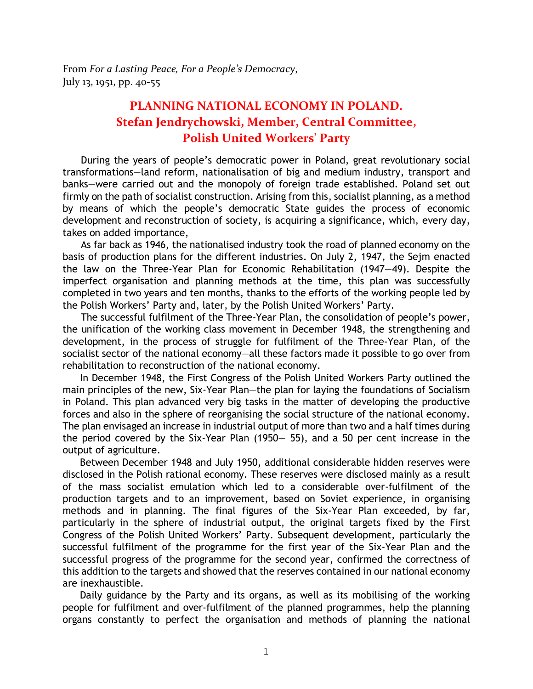From *For a Lasting Peace, For a People's Democracy*, July 13, 1951, pp. 40-55

## **PLANNING NATIONAL ECONOMY IN POLAND. Stefan Jendrychowski, Member, Central Committee, Polish United Workers' Party**

During the years of people's democratic power in Poland, great revolutionary social transformations—land reform, nationalisation of big and medium industry, transport and banks—were carried out and the monopoly of foreign trade established. Poland set out firmly on the path of socialist construction. Arising from this, socialist planning, as a method by means of which the people's democratic State guides the process of economic development and reconstruction of society, is acquiring a significance, which, every day, takes on added importance,

As far back as 1946, the nationalised industry took the road of planned economy on the basis of production plans for the different industries. On July 2, 1947, the Sejm enacted the law on the Three-Year Plan for Economic Rehabilitation (1947—49). Despite the imperfect organisation and planning methods at the time, this plan was successfully completed in two years and ten months, thanks to the efforts of the working people led by the Polish Workers' Party and, later, by the Polish United Workers' Party.

The successful fulfilment of the Three-Year Plan, the consolidation of people's power, the unification of the working class movement in December 1948, the strengthening and development, in the process of struggle for fulfilment of the Three-Year Plan, of the socialist sector of the national economy—all these factors made it possible to go over from rehabilitation to reconstruction of the national economy.

In December 1948, the First Congress of the Polish United Workers Party outlined the main principles of the new, Six-Year Plan—the plan for laying the foundations of Socialism in Poland. This plan advanced very big tasks in the matter of developing the productive forces and also in the sphere of reorganising the social structure of the national economy. The plan envisaged an increase in industrial output of more than two and a half times during the period covered by the Six-Year Plan (1950— 55), and a 50 per cent increase in the output of agriculture.

Between December 1948 and July 1950, additional considerable hidden reserves were disclosed in the Polish rational economy. These reserves were disclosed mainly as a result of the mass socialist emulation which led to a considerable over-fulfilment of the production targets and to an improvement, based on Soviet experience, in organising methods and in planning. The final figures of the Six-Year Plan exceeded, by far, particularly in the sphere of industrial output, the original targets fixed by the First Congress of the Polish United Workers' Party. Subsequent development, particularly the successful fulfilment of the programme for the first year of the Six-Year Plan and the successful progress of the programme for the second year, confirmed the correctness of this addition to the targets and showed that the reserves contained in our national economy are inexhaustible.

Daily guidance by the Party and its organs, as well as its mobilising of the working people for fulfilment and over-fulfilment of the planned programmes, help the planning organs constantly to perfect the organisation and methods of planning the national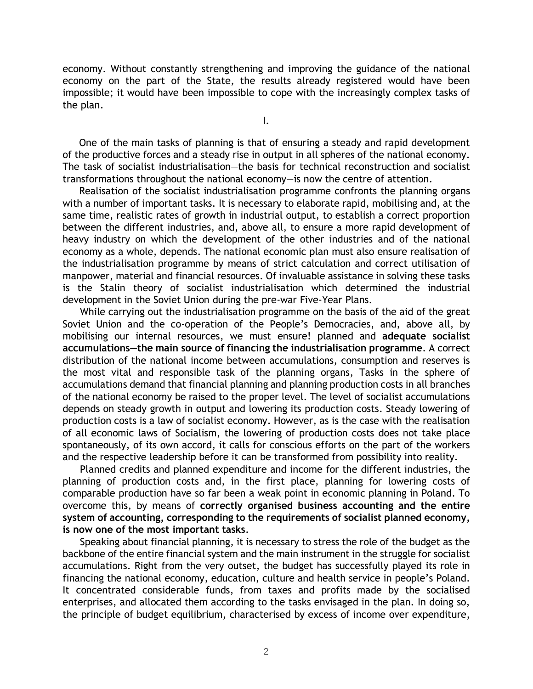economy. Without constantly strengthening and improving the guidance of the national economy on the part of the State, the results already registered would have been impossible; it would have been impossible to cope with the increasingly complex tasks of the plan.

I.

One of the main tasks of planning is that of ensuring a steady and rapid development of the productive forces and a steady rise in output in all spheres of the national economy. The task of socialist industrialisation—the basis for technical reconstruction and socialist transformations throughout the national economy—is now the centre of attention.

Realisation of the socialist industrialisation programme confronts the planning organs with a number of important tasks. It is necessary to elaborate rapid, mobilising and, at the same time, realistic rates of growth in industrial output, to establish a correct proportion between the different industries, and, above all, to ensure a more rapid development of heavy industry on which the development of the other industries and of the national economy as a whole, depends. The national economic plan must also ensure realisation of the industrialisation programme by means of strict calculation and correct utilisation of manpower, material and financial resources. Of invaluable assistance in solving these tasks is the Stalin theory of socialist industrialisation which determined the industrial development in the Soviet Union during the pre-war Five-Year Plans.

While carrying out the industrialisation programme on the basis of the aid of the great Soviet Union and the co-operation of the People's Democracies, and, above all, by mobilising our internal resources, we must ensure! planned and **adequate socialist accumulations—the main source of financing the industrialisation programme**. A correct distribution of the national income between accumulations, consumption and reserves is the most vital and responsible task of the planning organs, Tasks in the sphere of accumulations demand that financial planning and planning production costs in all branches of the national economy be raised to the proper level. The level of socialist accumulations depends on steady growth in output and lowering its production costs. Steady lowering of production costs is a law of socialist economy. However, as is the case with the realisation of all economic laws of Socialism, the lowering of production costs does not take place spontaneously, of its own accord, it calls for conscious efforts on the part of the workers and the respective leadership before it can be transformed from possibility into reality.

Planned credits and planned expenditure and income for the different industries, the planning of production costs and, in the first place, planning for lowering costs of comparable production have so far been a weak point in economic planning in Poland. To overcome this, by means of **correctly organised business accounting and the entire system of accounting, corresponding to the requirements of socialist planned economy, is now one of the most important tasks**.

Speaking about financial planning, it is necessary to stress the role of the budget as the backbone of the entire financial system and the main instrument in the struggle for socialist accumulations. Right from the very outset, the budget has successfully played its role in financing the national economy, education, culture and health service in people's Poland. It concentrated considerable funds, from taxes and profits made by the socialised enterprises, and allocated them according to the tasks envisaged in the plan. In doing so, the principle of budget equilibrium, characterised by excess of income over expenditure,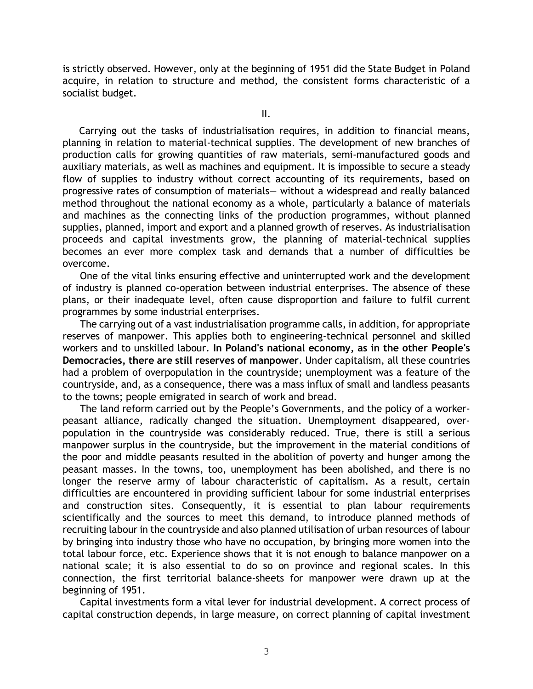is strictly observed. However, only at the beginning of 1951 did the State Budget in Poland acquire, in relation to structure and method, the consistent forms characteristic of a socialist budget.

II.

Carrying out the tasks of industrialisation requires, in addition to financial means, planning in relation to material-technical supplies. The development of new branches of production calls for growing quantities of raw materials, semi-manufactured goods and auxiliary materials, as well as machines and equipment. It is impossible to secure a steady flow of supplies to industry without correct accounting of its requirements, based on progressive rates of consumption of materials— without a widespread and really balanced method throughout the national economy as a whole, particularly a balance of materials and machines as the connecting links of the production programmes, without planned supplies, planned, import and export and a planned growth of reserves. As industrialisation proceeds and capital investments grow, the planning of material-technical supplies becomes an ever more complex task and demands that a number of difficulties be overcome.

One of the vital links ensuring effective and uninterrupted work and the development of industry is planned co-operation between industrial enterprises. The absence of these plans, or their inadequate level, often cause disproportion and failure to fulfil current programmes by some industrial enterprises.

The carrying out of a vast industrialisation programme calls, in addition, for appropriate reserves of manpower. This applies both to engineering-technical personnel and skilled workers and to unskilled labour. **In Poland's national economy, as in the other People's Democracies, there are still reserves of manpower**. Under capitalism, all these countries had a problem of overpopulation in the countryside; unemployment was a feature of the countryside, and, as a consequence, there was a mass influx of small and landless peasants to the towns; people emigrated in search of work and bread.

The land reform carried out by the People's Governments, and the policy of a workerpeasant alliance, radically changed the situation. Unemployment disappeared, overpopulation in the countryside was considerably reduced. True, there is still a serious manpower surplus in the countryside, but the improvement in the material conditions of the poor and middle peasants resulted in the abolition of poverty and hunger among the peasant masses. In the towns, too, unemployment has been abolished, and there is no longer the reserve army of labour characteristic of capitalism. As a result, certain difficulties are encountered in providing sufficient labour for some industrial enterprises and construction sites. Consequently, it is essential to plan labour requirements scientifically and the sources to meet this demand, to introduce planned methods of recruiting labour in the countryside and also planned utilisation of urban resources of labour by bringing into industry those who have no occupation, by bringing more women into the total labour force, etc. Experience shows that it is not enough to balance manpower on a national scale; it is also essential to do so on province and regional scales. In this connection, the first territorial balance-sheets for manpower were drawn up at the beginning of 1951.

Capital investments form a vital lever for industrial development. A correct process of capital construction depends, in large measure, on correct planning of capital investment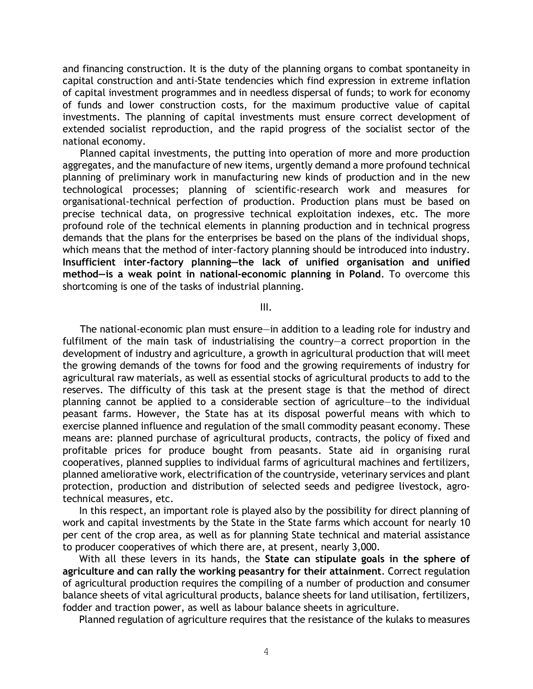and financing construction. It is the duty of the planning organs to combat spontaneity in capital construction and anti-State tendencies which find expression in extreme inflation of capital investment programmes and in needless dispersal of funds; to work for economy of funds and lower construction costs, for the maximum productive value of capital investments. The planning of capital investments must ensure correct development of extended socialist reproduction, and the rapid progress of the socialist sector of the national economy.

Planned capital investments, the putting into operation of more and more production aggregates, and the manufacture of new items, urgently demand a more profound technical planning of preliminary work in manufacturing new kinds of production and in the new technological processes; planning of scientific-research work and measures for organisational-technical perfection of production. Production plans must be based on precise technical data, on progressive technical exploitation indexes, etc. The more profound role of the technical elements in planning production and in technical progress demands that the plans for the enterprises be based on the plans of the individual shops, which means that the method of inter-factory planning should be introduced into industry. **Insufficient inter-factory planning—the lack of unified organisation and unified method—is a weak point in national-economic planning in Poland**. To overcome this shortcoming is one of the tasks of industrial planning.

III.

The national-economic plan must ensure—in addition to a leading role for industry and fulfilment of the main task of industrialising the country—a correct proportion in the development of industry and agriculture, a growth in agricultural production that will meet the growing demands of the towns for food and the growing requirements of industry for agricultural raw materials, as well as essential stocks of agricultural products to add to the reserves. The difficulty of this task at the present stage is that the method of direct planning cannot be applied to a considerable section of agriculture—to the individual peasant farms. However, the State has at its disposal powerful means with which to exercise planned influence and regulation of the small commodity peasant economy. These means are: planned purchase of agricultural products, contracts, the policy of fixed and profitable prices for produce bought from peasants. State aid in organising rural cooperatives, planned supplies to individual farms of agricultural machines and fertilizers, planned ameliorative work, electrification of the countryside, veterinary services and plant protection, production and distribution of selected seeds and pedigree livestock, agrotechnical measures, etc.

In this respect, an important role is played also by the possibility for direct planning of work and capital investments by the State in the State farms which account for nearly 10 per cent of the crop area, as well as for planning State technical and material assistance to producer cooperatives of which there are, at present, nearly 3,000.

With all these levers in its hands, the **State can stipulate goals in the sphere of agriculture and can rally the working peasantry for their attainment**. Correct regulation of agricultural production requires the compiling of a number of production and consumer balance sheets of vital agricultural products, balance sheets for land utilisation, fertilizers, fodder and traction power, as well as labour balance sheets in agriculture.

Planned regulation of agriculture requires that the resistance of the kulaks to measures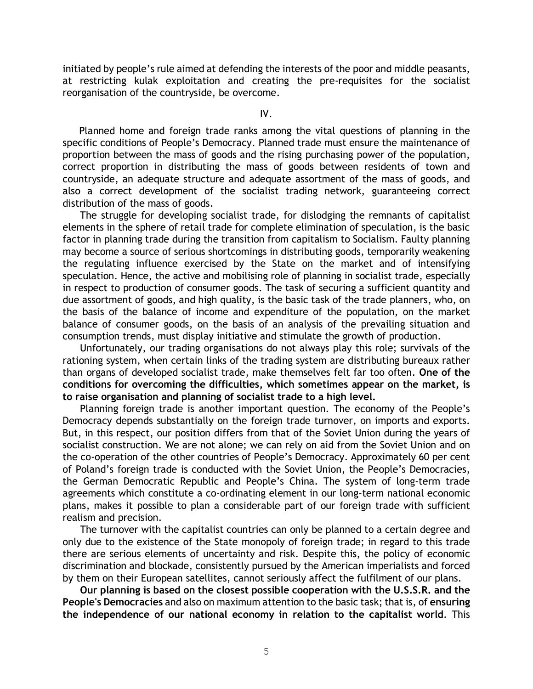initiated by people's rule aimed at defending the interests of the poor and middle peasants, at restricting kulak exploitation and creating the pre-requisites for the socialist reorganisation of the countryside, be overcome.

IV.

Planned home and foreign trade ranks among the vital questions of planning in the specific conditions of People's Democracy. Planned trade must ensure the maintenance of proportion between the mass of goods and the rising purchasing power of the population, correct proportion in distributing the mass of goods between residents of town and countryside, an adequate structure and adequate assortment of the mass of goods, and also a correct development of the socialist trading network, guaranteeing correct distribution of the mass of goods.

The struggle for developing socialist trade, for dislodging the remnants of capitalist elements in the sphere of retail trade for complete elimination of speculation, is the basic factor in planning trade during the transition from capitalism to Socialism. Faulty planning may become a source of serious shortcomings in distributing goods, temporarily weakening the regulating influence exercised by the State on the market and of intensifying speculation. Hence, the active and mobilising role of planning in socialist trade, especially in respect to production of consumer goods. The task of securing a sufficient quantity and due assortment of goods, and high quality, is the basic task of the trade planners, who, on the basis of the balance of income and expenditure of the population, on the market balance of consumer goods, on the basis of an analysis of the prevailing situation and consumption trends, must display initiative and stimulate the growth of production.

Unfortunately, our trading organisations do not always play this role; survivals of the rationing system, when certain links of the trading system are distributing bureaux rather than organs of developed socialist trade, make themselves felt far too often. **One of the conditions for overcoming the difficulties, which sometimes appear on the market, is to raise organisation and planning of socialist trade to a high level.**

Planning foreign trade is another important question. The economy of the People's Democracy depends substantially on the foreign trade turnover, on imports and exports. But, in this respect, our position differs from that of the Soviet Union during the years of socialist construction. We are not alone; we can rely on aid from the Soviet Union and on the co-operation of the other countries of People's Democracy. Approximately 60 per cent of Poland's foreign trade is conducted with the Soviet Union, the People's Democracies, the German Democratic Republic and People's China. The system of long-term trade agreements which constitute a co-ordinating element in our long-term national economic plans, makes it possible to plan a considerable part of our foreign trade with sufficient realism and precision.

The turnover with the capitalist countries can only be planned to a certain degree and only due to the existence of the State monopoly of foreign trade; in regard to this trade there are serious elements of uncertainty and risk. Despite this, the policy of economic discrimination and blockade, consistently pursued by the American imperialists and forced by them on their European satellites, cannot seriously affect the fulfilment of our plans.

**Our planning is based on the closest possible cooperation with the U.S.S.R. and the People's Democracies** and also on maximum attention to the basic task; that is, of **ensuring the independence of our national economy in relation to the capitalist world**. This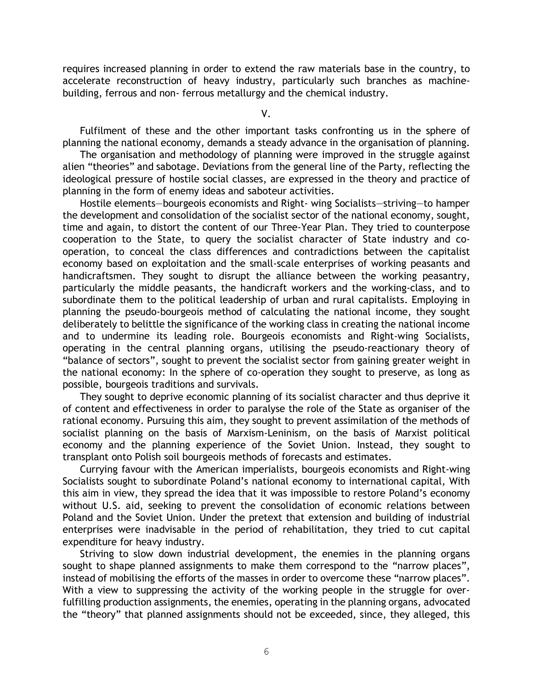requires increased planning in order to extend the raw materials base in the country, to accelerate reconstruction of heavy industry, particularly such branches as machinebuilding, ferrous and non- ferrous metallurgy and the chemical industry.

V.

Fulfilment of these and the other important tasks confronting us in the sphere of planning the national economy, demands a steady advance in the organisation of planning.

The organisation and methodology of planning were improved in the struggle against alien "theories" and sabotage. Deviations from the general line of the Party, reflecting the ideological pressure of hostile social classes, are expressed in the theory and practice of planning in the form of enemy ideas and saboteur activities.

Hostile elements—bourgeois economists and Right- wing Socialists—striving—to hamper the development and consolidation of the socialist sector of the national economy, sought, time and again, to distort the content of our Three-Year Plan. They tried to counterpose cooperation to the State, to query the socialist character of State industry and cooperation, to conceal the class differences and contradictions between the capitalist economy based on exploitation and the small-scale enterprises of working peasants and handicraftsmen. They sought to disrupt the alliance between the working peasantry, particularly the middle peasants, the handicraft workers and the working-class, and to subordinate them to the political leadership of urban and rural capitalists. Employing in planning the pseudo-bourgeois method of calculating the national income, they sought deliberately to belittle the significance of the working class in creating the national income and to undermine its leading role. Bourgeois economists and Right-wing Socialists, operating in the central planning organs, utilising the pseudo-reactionary theory of "balance of sectors", sought to prevent the socialist sector from gaining greater weight in the national economy: In the sphere of co-operation they sought to preserve, as long as possible, bourgeois traditions and survivals.

They sought to deprive economic planning of its socialist character and thus deprive it of content and effectiveness in order to paralyse the role of the State as organiser of the rational economy. Pursuing this aim, they sought to prevent assimilation of the methods of socialist planning on the basis of Marxism-Leninism, on the basis of Marxist political economy and the planning experience of the Soviet Union. Instead, they sought to transplant onto Polish soil bourgeois methods of forecasts and estimates.

Currying favour with the American imperialists, bourgeois economists and Right-wing Socialists sought to subordinate Poland's national economy to international capital, With this aim in view, they spread the idea that it was impossible to restore Poland's economy without U.S. aid, seeking to prevent the consolidation of economic relations between Poland and the Soviet Union. Under the pretext that extension and building of industrial enterprises were inadvisable in the period of rehabilitation, they tried to cut capital expenditure for heavy industry.

Striving to slow down industrial development, the enemies in the planning organs sought to shape planned assignments to make them correspond to the "narrow places", instead of mobilising the efforts of the masses in order to overcome these "narrow places". With a view to suppressing the activity of the working people in the struggle for overfulfilling production assignments, the enemies, operating in the planning organs, advocated the "theory" that planned assignments should not be exceeded, since, they alleged, this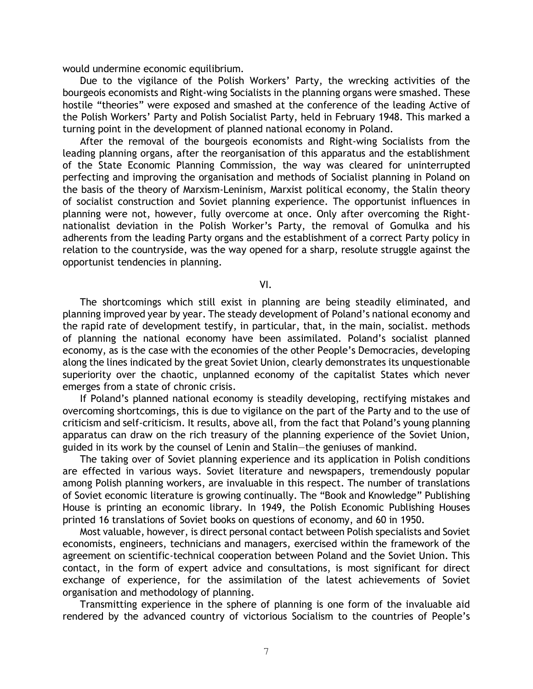would undermine economic equilibrium.

Due to the vigilance of the Polish Workers' Party, the wrecking activities of the bourgeois economists and Right-wing Socialists in the planning organs were smashed. These hostile "theories" were exposed and smashed at the conference of the leading Active of the Polish Workers' Party and Polish Socialist Party, held in February 1948. This marked a turning point in the development of planned national economy in Poland.

After the removal of the bourgeois economists and Right-wing Socialists from the leading planning organs, after the reorganisation of this apparatus and the establishment of the State Economic Planning Commission, the way was cleared for uninterrupted perfecting and improving the organisation and methods of Socialist planning in Poland on the basis of the theory of Marxism-Leninism, Marxist political economy, the Stalin theory of socialist construction and Soviet planning experience. The opportunist influences in planning were not, however, fully overcome at once. Only after overcoming the Rightnationalist deviation in the Polish Worker's Party, the removal of Gomulka and his adherents from the leading Party organs and the establishment of a correct Party policy in relation to the countryside, was the way opened for a sharp, resolute struggle against the opportunist tendencies in planning.

VI.

The shortcomings which still exist in planning are being steadily eliminated, and planning improved year by year. The steady development of Poland's national economy and the rapid rate of development testify, in particular, that, in the main, socialist. methods of planning the national economy have been assimilated. Poland's socialist planned economy, as is the case with the economies of the other People's Democracies, developing along the lines indicated by the great Soviet Union, clearly demonstrates its unquestionable superiority over the chaotic, unplanned economy of the capitalist States which never emerges from a state of chronic crisis.

If Poland's planned national economy is steadily developing, rectifying mistakes and overcoming shortcomings, this is due to vigilance on the part of the Party and to the use of criticism and self-criticism. It results, above all, from the fact that Poland's young planning apparatus can draw on the rich treasury of the planning experience of the Soviet Union, guided in its work by the counsel of Lenin and Stalin—the geniuses of mankind.

The taking over of Soviet planning experience and its application in Polish conditions are effected in various ways. Soviet literature and newspapers, tremendously popular among Polish planning workers, are invaluable in this respect. The number of translations of Soviet economic literature is growing continually. The "Book and Knowledge" Publishing House is printing an economic library. In 1949, the Polish Economic Publishing Houses printed 16 translations of Soviet books on questions of economy, and 60 in 1950.

Most valuable, however, is direct personal contact between Polish specialists and Soviet economists, engineers, technicians and managers, exercised within the framework of the agreement on scientific-technical cooperation between Poland and the Soviet Union. This contact, in the form of expert advice and consultations, is most significant for direct exchange of experience, for the assimilation of the latest achievements of Soviet organisation and methodology of planning.

Transmitting experience in the sphere of planning is one form of the invaluable aid rendered by the advanced country of victorious Socialism to the countries of People's